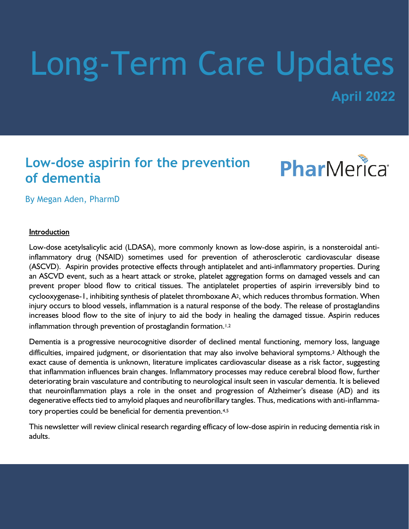# Long-Term Care Updates

**April 2022**

## **Low-dose aspirin for the prevention of dementia**



By Megan Aden, PharmD

#### Introduction

Low-dose acetylsalicylic acid (LDASA), more commonly known as low-dose aspirin, is a nonsteroidal antiinflammatory drug (NSAID) sometimes used for prevention of atherosclerotic cardiovascular disease (ASCVD). Aspirin provides protective effects through antiplatelet and anti-inflammatory properties. During an ASCVD event, such as a heart attack or stroke, platelet aggregation forms on damaged vessels and can prevent proper blood flow to critical tissues. The antiplatelet properties of aspirin irreversibly bind to cyclooxygenase-1, inhibiting synthesis of platelet thromboxane A2, which reduces thrombus formation. When injury occurs to blood vessels, inflammation is a natural response of the body. The release of prostaglandins increases blood flow to the site of injury to aid the body in healing the damaged tissue. Aspirin reduces inflammation through prevention of prostaglandin formation.<sup>1,2</sup>

Dementia is a progressive neurocognitive disorder of declined mental functioning, memory loss, language difficulties, impaired judgment, or disorientation that may also involve behavioral symptoms.3 Although the exact cause of dementia is unknown, literature implicates cardiovascular disease as a risk factor, suggesting that inflammation influences brain changes. Inflammatory processes may reduce cerebral blood flow, further deteriorating brain vasculature and contributing to neurological insult seen in vascular dementia. It is believed that neuroinflammation plays a role in the onset and progression of Alzheimer's disease (AD) and its degenerative effects tied to amyloid plaques and neurofibrillary tangles. Thus, medications with anti-inflammatory properties could be beneficial for dementia prevention.4,5

This newsletter will review clinical research regarding efficacy of low-dose aspirin in reducing dementia risk in adults.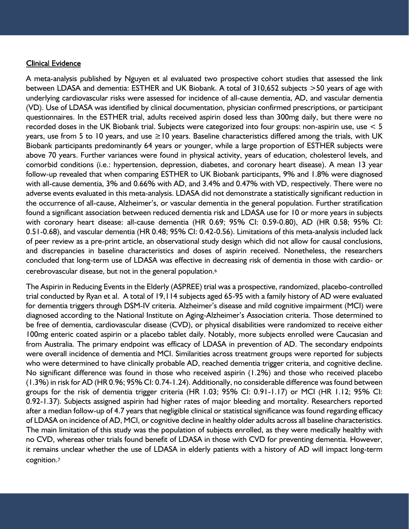#### **Clinical Evidence**

A meta-analysis published by Nguyen et al evaluated two prospective cohort studies that assessed the link between LDASA and dementia: ESTHER and UK Biobank. A total of 310,652 subjects >50 years of age with underlying cardiovascular risks were assessed for incidence of all-cause dementia, AD, and vascular dementia (VD). Use of LDASA was identified by clinical documentation, physician confirmed prescriptions, or participant questionnaires. In the ESTHER trial, adults received aspirin dosed less than 300mg daily, but there were no recorded doses in the UK Biobank trial. Subjects were categorized into four groups: non-aspirin use, use < 5 years, use from 5 to 10 years, and use ≥10 years. Baseline characteristics differed among the trials, with UK Biobank participants predominantly 64 years or younger, while a large proportion of ESTHER subjects were above 70 years. Further variances were found in physical activity, years of education, cholesterol levels, and comorbid conditions (i.e.: hypertension, depression, diabetes, and coronary heart disease). A mean 13 year follow-up revealed that when comparing ESTHER to UK Biobank participants, 9% and 1.8% were diagnosed with all-cause dementia, 3% and 0.66% with AD, and 3.4% and 0.47% with VD, respectively. There were no adverse events evaluated in this meta-analysis. LDASA did not demonstrate a statistically significant reduction in the occurrence of all-cause, Alzheimer's, or vascular dementia in the general population. Further stratification found a significant association between reduced dementia risk and LDASA use for 10 or more years in subjects with coronary heart disease: all-cause dementia (HR 0.69; 95% CI: 0.59-0.80), AD (HR 0.58; 95% CI: 0.51-0.68), and vascular dementia (HR 0.48; 95% CI: 0.42-0.56). Limitations of this meta-analysis included lack of peer review as a pre-print article, an observational study design which did not allow for causal conclusions, and discrepancies in baseline characteristics and doses of aspirin received. Nonetheless, the researchers concluded that long-term use of LDASA was effective in decreasing risk of dementia in those with cardio- or cerebrovascular disease, but not in the general population.<sup>6</sup>

The Aspirin in Reducing Events in the Elderly (ASPREE) trial was a prospective, randomized, placebo-controlled trial conducted by Ryan et al. A total of 19,114 subjects aged 65-95 with a family history of AD were evaluated for dementia triggers through DSM-IV criteria. Alzheimer's disease and mild cognitive impairment (MCI) were diagnosed according to the National Institute on Aging-Alzheimer's Association criteria. Those determined to be free of dementia, cardiovascular disease (CVD), or physical disabilities were randomized to receive either 100mg enteric coated aspirin or a placebo tablet daily. Notably, more subjects enrolled were Caucasian and from Australia. The primary endpoint was efficacy of LDASA in prevention of AD. The secondary endpoints were overall incidence of dementia and MCI. Similarities across treatment groups were reported for subjects who were determined to have clinically probable AD, reached dementia trigger criteria, and cognitive decline. No significant difference was found in those who received aspirin (1.2%) and those who received placebo (1.3%) in risk for AD (HR 0.96; 95% CI: 0.74-1.24). Additionally, no considerable difference was found between groups for the risk of dementia trigger criteria (HR 1.03; 95% CI: 0.91-1.17) or MCI (HR 1.12; 95% CI: 0.92-1.37). Subjects assigned aspirin had higher rates of major bleeding and mortality. Researchers reported after a median follow-up of 4.7 years that negligible clinical or statistical significance was found regarding efficacy of LDASA on incidence of AD, MCI, or cognitive decline in healthy older adults across all baseline characteristics. The main limitation of this study was the population of subjects enrolled, as they were medically healthy with no CVD, whereas other trials found benefit of LDASA in those with CVD for preventing dementia. However, it remains unclear whether the use of LDASA in elderly patients with a history of AD will impact long-term cognition.7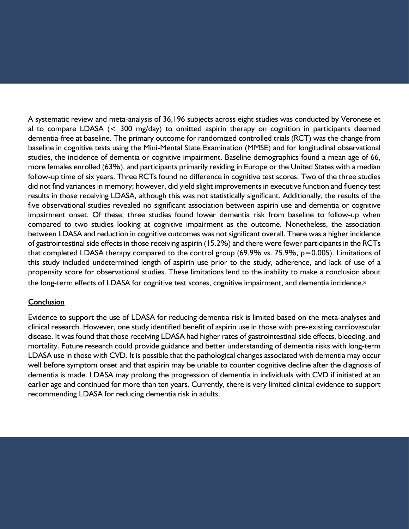A systematic review and meta-analysis of 36,196 subjects across eight studies was conducted by Veronese et al to compare LDASA (< 300 mg/day) to omitted aspirin therapy on cognition in participants deemed dementia-free at baseline. The primary outcome for randomized controlled trials (RCT) was the change from baseline in cognitive tests using the Mini-Mental State Examination (MMSE) and for longitudinal observational studies, the incidence of dementia or cognitive impairment. Baseline demographics found a mean age of 66, more females enrolled (63%), and participants primarily residing in Europe or the United States with a median follow-up time of six years. Three RCTs found no difference in cognitive test scores. Two of the three studies did not find variances in memory; however, did yield slight improvements in executive function and fluency test results in those receiving LDASA, although this was not statistically significant. Additionally, the results of the five observational studies revealed no significant association between aspirin use and dementia or cognitive impairment onset. Of these, three studies found lower dementia risk from baseline to follow-up when compared to two studies looking at cognitive impairment as the outcome. Nonetheless, the association between LDASA and reduction in cognitive outcomes was not significant overall. There was a higher incidence of gastrointestinal side effects in those receiving aspirin (15.2%) and there were fewer participants in the RCTs that completed LDASA therapy compared to the control group (69.9% vs. 75.9%,  $p=0.005$ ). Limitations of this study included undetermined length of aspirin use prior to the study, adherence, and lack of use of a propensity score for observational studies. These limitations lend to the inability to make a conclusion about the long-term effects of LDASA for cognitive test scores, cognitive impairment, and dementia incidence.<sup>8</sup>

#### Conclusion

Evidence to support the use of LDASA for reducing dementia risk is limited based on the meta-analyses and clinical research. However, one study identified benefit of aspirin use in those with pre-existing cardiovascular disease. It was found that those receiving LDASA had higher rates of gastrointestinal side effects, bleeding, and mortality. Future research could provide guidance and better understanding of dementia risks with long-term LDASA use in those with CVD. It is possible that the pathological changes associated with dementia may occur well before symptom onset and that aspirin may be unable to counter cognitive decline after the diagnosis of dementia is made. LDASA may prolong the progression of dementia in individuals with CVD if initiated at an earlier age and continued for more than ten years. Currently, there is very limited clinical evidence to support recommending LDASA for reducing dementia risk in adults.